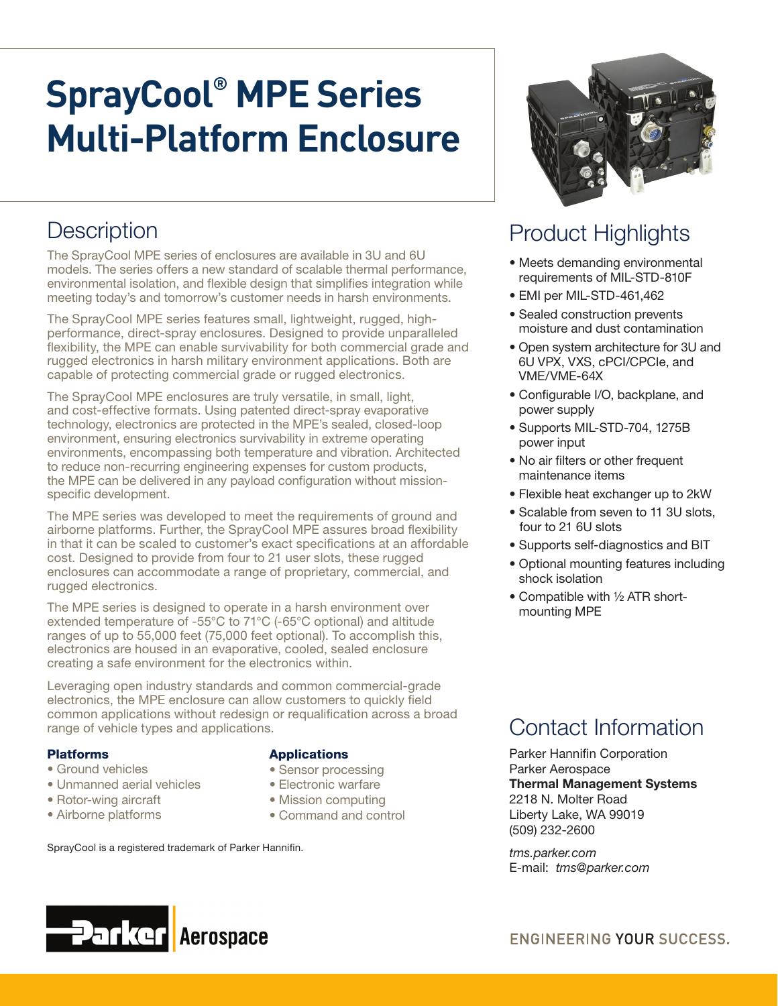# **SprayCool® MPE Series Multi-Platform Enclosure**

### **Description**

The SprayCool MPE series of enclosures are available in 3U and 6U models. The series offers a new standard of scalable thermal performance, environmental isolation, and flexible design that simplifies integration while meeting today's and tomorrow's customer needs in harsh environments.

The SprayCool MPE series features small, lightweight, rugged, highperformance, direct-spray enclosures. Designed to provide unparalleled flexibility, the MPE can enable survivability for both commercial grade and rugged electronics in harsh military environment applications. Both are capable of protecting commercial grade or rugged electronics.

The SprayCool MPE enclosures are truly versatile, in small, light, and cost-effective formats. Using patented direct-spray evaporative technology, electronics are protected in the MPE's sealed, closed-loop environment, ensuring electronics survivability in extreme operating environments, encompassing both temperature and vibration. Architected to reduce non-recurring engineering expenses for custom products, the MPE can be delivered in any payload configuration without missionspecific development.

The MPE series was developed to meet the requirements of ground and airborne platforms. Further, the SprayCool MPE assures broad flexibility in that it can be scaled to customer's exact specifications at an affordable cost. Designed to provide from four to 21 user slots, these rugged enclosures can accommodate a range of proprietary, commercial, and rugged electronics.

The MPE series is designed to operate in a harsh environment over extended temperature of -55°C to 71°C (-65°C optional) and altitude ranges of up to 55,000 feet (75,000 feet optional). To accomplish this, electronics are housed in an evaporative, cooled, sealed enclosure creating a safe environment for the electronics within.

Leveraging open industry standards and common commercial-grade electronics, the MPE enclosure can allow customers to quickly field common applications without redesign or requalification across a broad range of vehicle types and applications.

#### Platforms

- Ground vehicles
- Unmanned aerial vehicles
- Rotor-wing aircraft
- Airborne platforms

**Parker** 

#### **Applications**

- Sensor processing
- Electronic warfare
- Mission computing
- Command and control

SprayCool is a registered trademark of Parker Hannifin.

**Aerospace** 



#### Product Highlights

- Meets demanding environmental requirements of MIL-STD-810F
- EMI per MIL-STD-461,462
- Sealed construction prevents moisture and dust contamination
- Open system architecture for 3U and 6U VPX, VXS, cPCI/CPCIe, and VME/VME-64X
- Configurable I/O, backplane, and power supply
- Supports MIL-STD-704, 1275B power input
- No air filters or other frequent maintenance items
- Flexible heat exchanger up to 2kW
- Scalable from seven to 11 3U slots, four to 21 6U slots
- Supports self-diagnostics and BIT
- Optional mounting features including shock isolation
- Compatible with ½ ATR shortmounting MPE

Parker Hannifin Corporation Parker Aerospace Thermal Management Systems 2218 N. Molter Road Liberty Lake, WA 99019 (509) 232-2600

*tms.parker.com* E-mail: *tms@parker.com*



ENGINEERING YOUR SUCCESS.